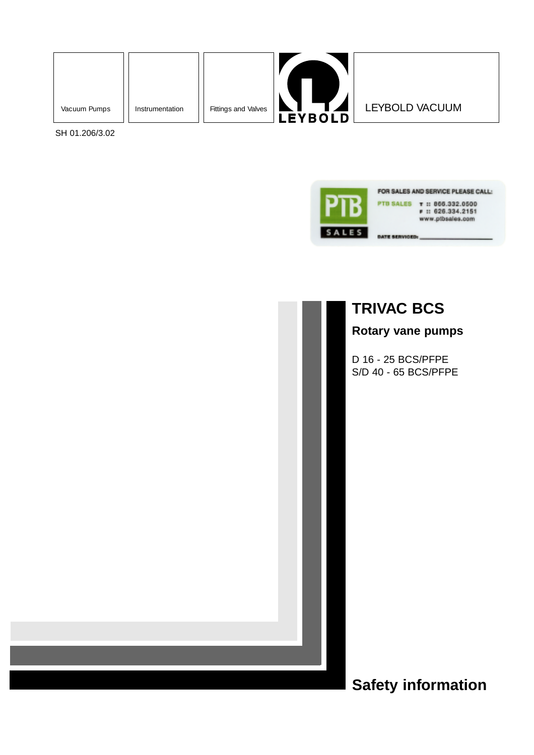



SH 01.206/3.02



## **TRIVAC BCS**

**Rotary vane pumps**

D 16 - 25 BCS/PFPE S/D 40 - 65 BCS/PFPE

**Safety information**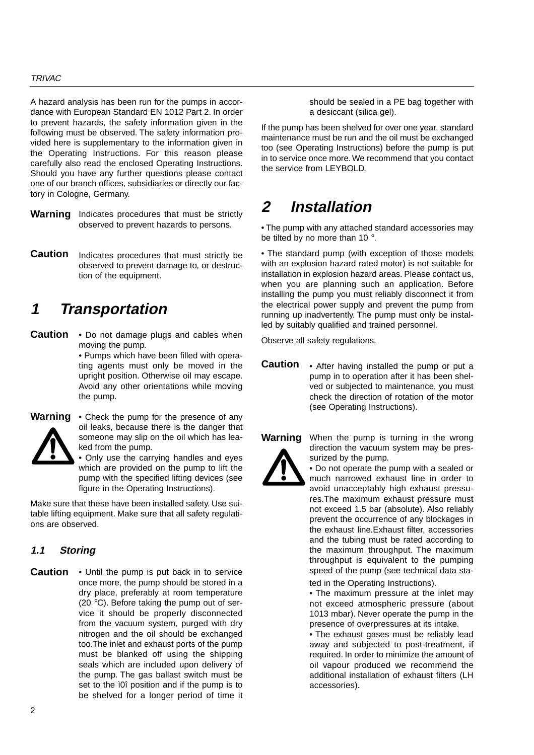#### **TRIVAC**

A hazard analysis has been run for the pumps in accordance with European Standard EN 1012 Part 2. In order to prevent hazards, the safety information given in the following must be observed. The safety information provided here is supplementary to the information given in the Operating Instructions. For this reason please carefully also read the enclosed Operating Instructions. Should you have any further questions please contact one of our branch offices, subsidiaries or directly our factory in Cologne, Germany.

- Warning Indicates procedures that must be strictly observed to prevent hazards to persons.
- Indicates procedures that must strictly be observed to prevent damage to, or destruction of the equipment. **Caution**

# **1 Transportation**

• Do not damage plugs and cables when **Caution** moving the pump.

• Pumps which have been filled with operating agents must only be moved in the upright position. Otherwise oil may escape. Avoid any other orientations while moving the pump.



**Warning**

• Check the pump for the presence of any oil leaks, because there is the danger that someone may slip on the oil which has leaked from the pump.

• Only use the carrying handles and eyes which are provided on the pump to lift the pump with the specified lifting devices (see figure in the Operating Instructions).

Make sure that these have been installed safety. Use suitable lifting equipment. Make sure that all safety regulations are observed.

#### **1.1 Storing**

• Until the pump is put back in to service once more, the pump should be stored in a dry place, preferably at room temperature (20 °C). Before taking the pump out of service it should be properly disconnected from the vacuum system, purged with dry nitrogen and the oil should be exchanged too.The inlet and exhaust ports of the pump must be blanked off using the shipping seals which are included upon delivery of the pump. The gas ballast switch must be set to the ì0î position and if the pump is to be shelved for a longer period of time it **Caution**

should be sealed in a PE bag together with a desiccant (silica gel).

If the pump has been shelved for over one year, standard maintenance must be run and the oil must be exchanged too (see Operating Instructions) before the pump is put in to service once more. We recommend that you contact the service from LEYBOLD.

## **2 Installation**

• The pump with any attached standard accessories may be tilted by no more than 10 °.

• The standard pump (with exception of those models with an explosion hazard rated motor) is not suitable for installation in explosion hazard areas. Please contact us, when you are planning such an application. Before installing the pump you must reliably disconnect it from the electrical power supply and prevent the pump from running up inadvertently. The pump must only be installed by suitably qualified and trained personnel.

Observe all safety regulations.

- After having installed the pump or put a pump in to operation after it has been shelved or subjected to maintenance, you must check the direction of rotation of the motor (see Operating Instructions). **Caution**
- When the pump is turning in the wrong direction the vacuum system may be pressurized by the pump. **Warning**



• Do not operate the pump with a sealed or much narrowed exhaust line in order to avoid unacceptably high exhaust pressu-

res.The maximum exhaust pressure must not exceed 1.5 bar (absolute). Also reliably prevent the occurrence of any blockages in the exhaust line.Exhaust filter, accessories and the tubing must be rated according to the maximum throughput. The maximum throughput is equivalent to the pumping speed of the pump (see technical data sta-

ted in the Operating Instructions).

• The maximum pressure at the inlet may not exceed atmospheric pressure (about 1013 mbar). Never operate the pump in the presence of overpressures at its intake.

• The exhaust gases must be reliably lead away and subjected to post-treatment, if required. In order to minimize the amount of oil vapour produced we recommend the additional installation of exhaust filters (LH accessories).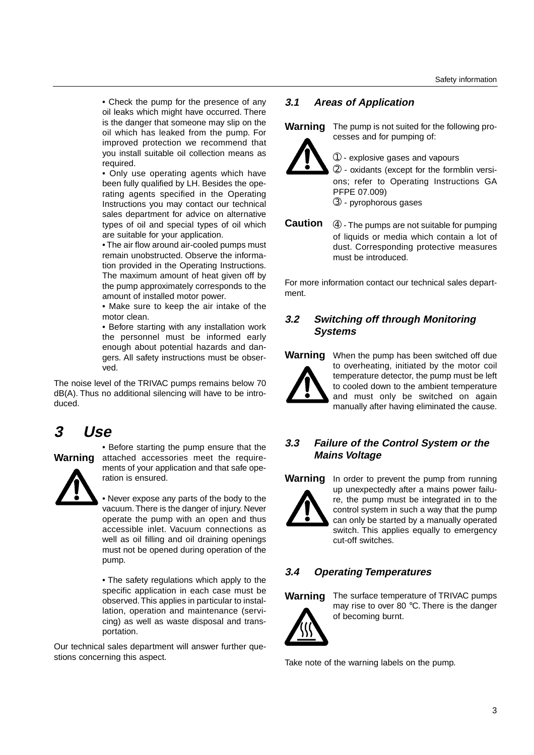• Check the pump for the presence of any oil leaks which might have occurred. There is the danger that someone may slip on the oil which has leaked from the pump. For improved protection we recommend that you install suitable oil collection means as required.

• Only use operating agents which have been fully qualified by LH. Besides the operating agents specified in the Operating Instructions you may contact our technical sales department for advice on alternative types of oil and special types of oil which are suitable for your application.

• The air flow around air-cooled pumps must remain unobstructed. Observe the information provided in the Operating Instructions. The maximum amount of heat given off by the pump approximately corresponds to the amount of installed motor power.

• Make sure to keep the air intake of the motor clean.

• Before starting with any installation work the personnel must be informed early enough about potential hazards and dangers. All safety instructions must be observed.

The noise level of the TRIVAC pumps remains below 70 dB(A). Thus no additional silencing will have to be introduced.

## **3 Use**

## **Warning**



• Before starting the pump ensure that the attached accessories meet the requirements of your application and that safe operation is ensured.

• Never expose any parts of the body to the vacuum. There is the danger of injury. Never operate the pump with an open and thus accessible inlet. Vacuum connections as well as oil filling and oil draining openings must not be opened during operation of the pump.

• The safety regulations which apply to the specific application in each case must be observed.This applies in particular to installation, operation and maintenance (servicing) as well as waste disposal and transportation.

Our technical sales department will answer further questions concerning this aspect.

### **3.1 Areas of Application**



The pump is not suited for the following processes and for pumping of:

➀ - explosive gases and vapours

➁ - oxidants (except for the formblin versions; refer to Operating Instructions GA PFPE 07.009)

➂ - pyrophorous gases

➃ - The pumps are not suitable for pumping of liquids or media which contain a lot of dust. Corresponding protective measures must be introduced. **Caution** 

For more information contact our technical sales department.

### **3.2 Switching off through Monitoring Systems**

Warning When the pump has been switched off due to overheating, initiated by the motor coil temperature detector, the pump must be left to cooled down to the ambient temperature and must only be switched on again manually after having eliminated the cause.

### **3.3 Failure of the Control System or the Mains Voltage**

**Warning**

In order to prevent the pump from running up unexpectedly after a mains power failure, the pump must be integrated in to the control system in such a way that the pump can only be started by a manually operated switch. This applies equally to emergency cut-off switches.

## **3.4 Operating Temperatures**



**Warning** The surface temperature of TRIVAC pumps may rise to over 80 °C. There is the danger of becoming burnt.

Take note of the warning labels on the pump.